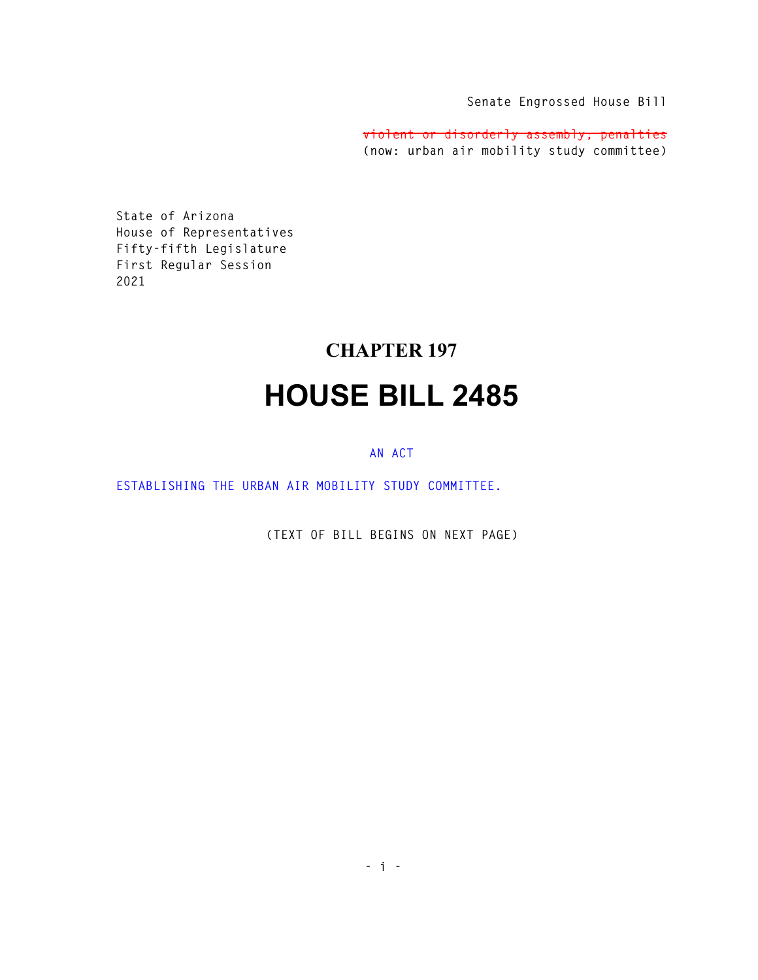**Senate Engrossed House Bill** 

**violent or disorderly assembly; penalties (now: urban air mobility study committee)** 

**State of Arizona House of Representatives Fifty-fifth Legislature First Regular Session 2021** 

## **CHAPTER 197 HOUSE BILL 2485**

## **AN ACT**

**ESTABLISHING THE URBAN AIR MOBILITY STUDY COMMITTEE.** 

**(TEXT OF BILL BEGINS ON NEXT PAGE)**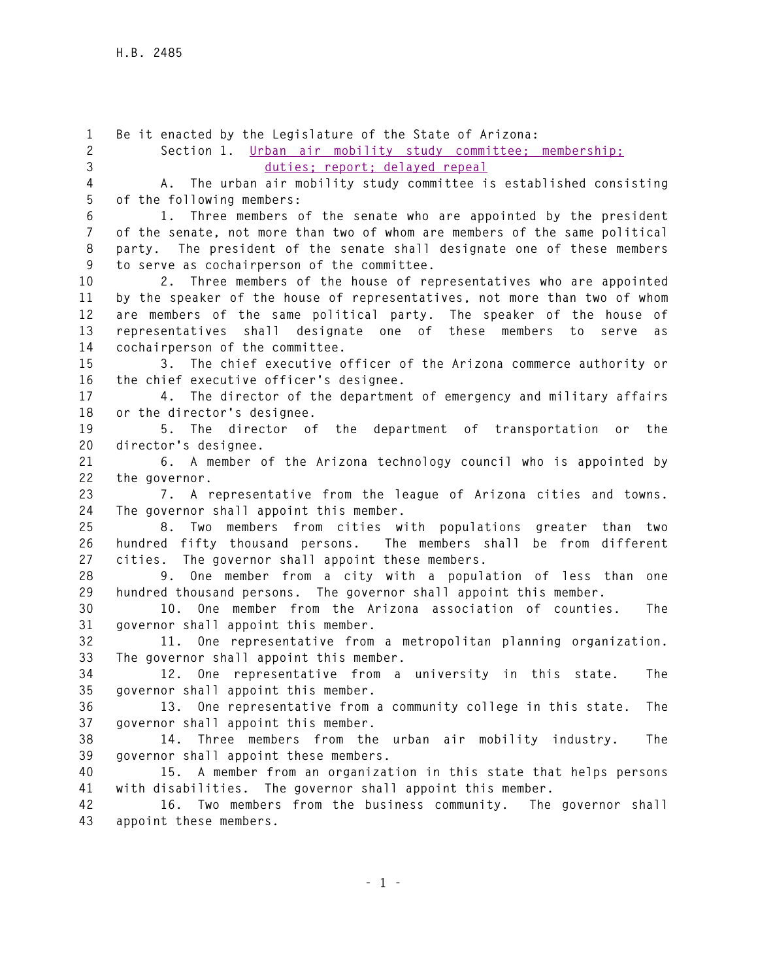**1 Be it enacted by the Legislature of the State of Arizona: 2 Section 1. Urban air mobility study committee; membership; 3 duties; report; delayed repeal 4 A. The urban air mobility study committee is established consisting 5 of the following members: 6 1. Three members of the senate who are appointed by the president 7 of the senate, not more than two of whom are members of the same political 8 party. The president of the senate shall designate one of these members 9 to serve as cochairperson of the committee. 10 2. Three members of the house of representatives who are appointed 11 by the speaker of the house of representatives, not more than two of whom 12 are members of the same political party. The speaker of the house of 13 representatives shall designate one of these members to serve as 14 cochairperson of the committee. 15 3. The chief executive officer of the Arizona commerce authority or 16 the chief executive officer's designee. 17 4. The director of the department of emergency and military affairs 18 or the director's designee. 19 5. The director of the department of transportation or the 20 director's designee. 21 6. A member of the Arizona technology council who is appointed by 22 the governor. 23 7. A representative from the league of Arizona cities and towns. 24 The governor shall appoint this member. 25 8. Two members from cities with populations greater than two 26 hundred fifty thousand persons. The members shall be from different 27 cities. The governor shall appoint these members. 28 9. One member from a city with a population of less than one 29 hundred thousand persons. The governor shall appoint this member. 30 10. One member from the Arizona association of counties. The 31 governor shall appoint this member. 32 11. One representative from a metropolitan planning organization. 33 The governor shall appoint this member. 34 12. One representative from a university in this state. The 35 governor shall appoint this member. 36 13. One representative from a community college in this state. The 37 governor shall appoint this member. 38 14. Three members from the urban air mobility industry. The 39 governor shall appoint these members. 40 15. A member from an organization in this state that helps persons 41 with disabilities. The governor shall appoint this member. 42 16. Two members from the business community. The governor shall 43 appoint these members.**